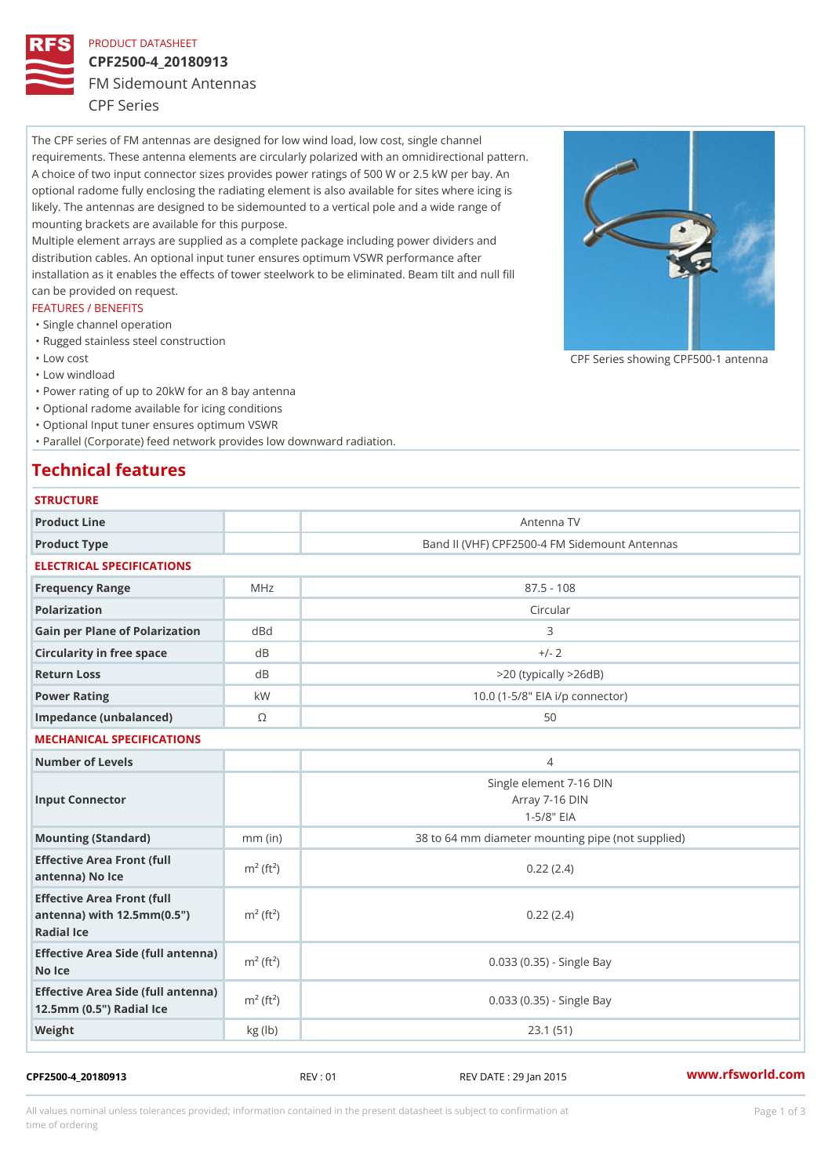## PRODUCT DATASHEET

# CPF2500-4\_20180913

FM Sidemount Antennas

CPF Series

The CPF series of FM antennas are designed for low wind load, low cost, single channel requirements. These antenna elements are circularly polarized with an omnidirectional pattern. A choice of two input connector sizes provides power ratings of 500 W or 2.5 kW per bay. An optional radome fully enclosing the radiating element is also available for sites where icing is likely. The antennas are designed to be sidemounted to a vertical pole and a wide range of mounting brackets are available for this purpose. Multiple element arrays are supplied as a complete package including power dividers and distribution cables. An optional input tuner ensures optimum VSWR performance after

installation as it enables the effects of tower steelwork to be eliminated. Beam tilt and null fill can be provided on request.

### FEATURES / BENEFITS

- "Single channel operation
- "Rugged stainless steel construction
- "Low cost

"Low windload

"Power rating of up to 20kW for an 8 bay antenna

- "Optional radome available for icing conditions
- "Optional Input tuner ensures optimum VSWR

"Parallel (Corporate) feed network provides low downward radiation.

# Technical features

| <b>STRUCTURE</b>                                                                                                   |                       |                                                              |
|--------------------------------------------------------------------------------------------------------------------|-----------------------|--------------------------------------------------------------|
| Product Line                                                                                                       |                       | Antenna TV                                                   |
| Product Type                                                                                                       |                       | Band II (VHF) CPF2500-4 FM Sidemount Antennas                |
| ELECTRICAL SPECIFICATIONS                                                                                          |                       |                                                              |
| Frequency Range                                                                                                    | MHz                   | $87.5 - 108$                                                 |
| Polarization                                                                                                       |                       | Circular                                                     |
| Gain per Plane of PolarizatdoBnd                                                                                   |                       | 3                                                            |
| Circularity in free space                                                                                          | d B                   | $+/- 2$                                                      |
| Return Loss                                                                                                        | d B                   | $>$ 20 (typically $>$ 26dB)                                  |
| Power Rating                                                                                                       | k W                   | 10.0 (1-5/8" EIA i/p connector)                              |
| Impedance (unbalanced)                                                                                             | $\odot$               | 50                                                           |
| MECHANICAL SPECIFICATIONS                                                                                          |                       |                                                              |
| Number of Levels                                                                                                   |                       | $\overline{4}$                                               |
| Input Connector                                                                                                    |                       | Single element 7-16 DIN<br>Array 7-16 DIN<br>$1 - 5/8$ $EIA$ |
| Mounting (Standard)                                                                                                | $mm$ (in)             | 38 to 64 mm diameter mounting pipe (not supplied)            |
| Effective Area Front (full<br>antenna) No Ice                                                                      | $m2$ (ft <sup>2</sup> | 0.22(2.4)                                                    |
| Effective Area Front (full<br>antenna) with $12.5$ mm $(0.5$ " $\pi$ <sup>2</sup> (ft <sup>2</sup> )<br>Radial Ice |                       | 0.22(2.4)                                                    |
| Effective Area Side (full antenna)<br>No Ice                                                                       |                       | 0.033 (0.35) - Single Bay                                    |
| Effective Area Side (full antenna)<br>12.5mm (0.5") Radial Ice                                                     |                       | 0.033 (0.35) - Single Bay                                    |
| Weight                                                                                                             | kg(lb)                | 23.1(51)                                                     |

## CPF2500-4\_20180913 REV : 01 REV DATE : 29 Jan 2015 [www.](https://www.rfsworld.com)rfsworld.com

CPF Series showing CPF500-1 and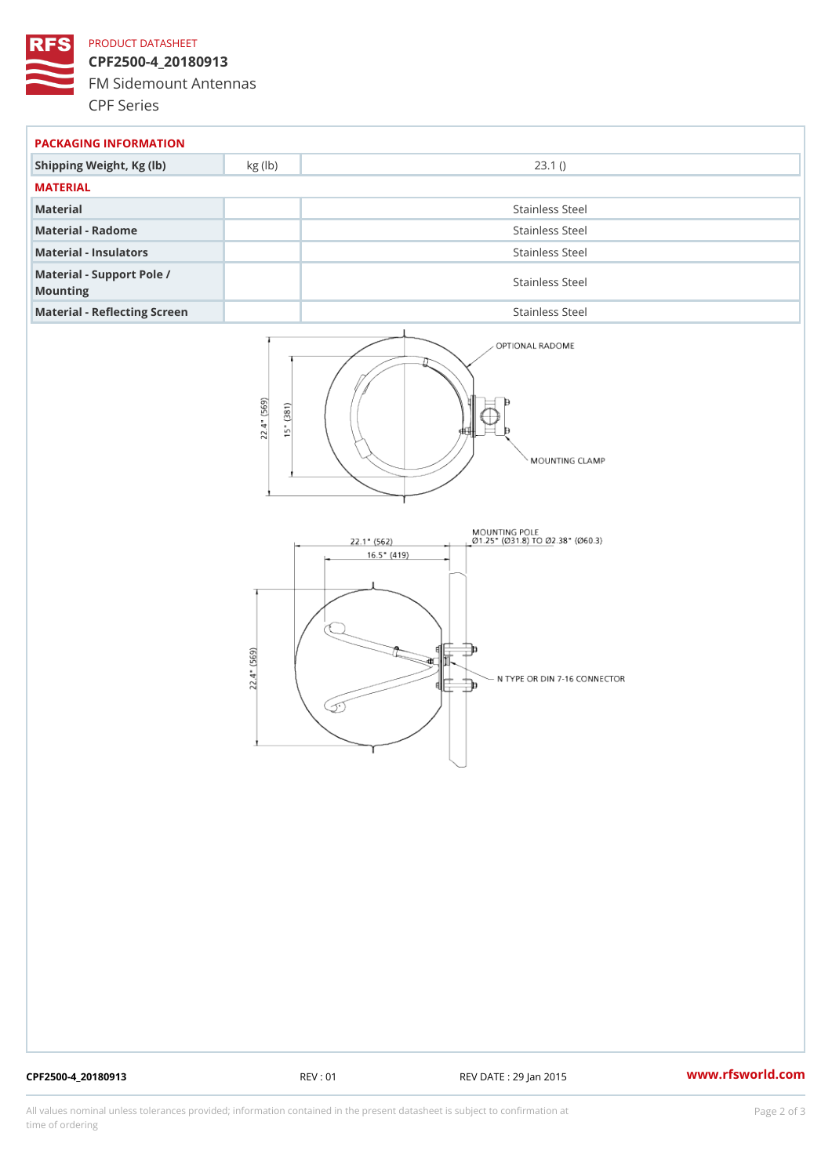## PRODUCT DATASHEET

CPF2500-4\_20180913 FM Sidemount Antennas CPF Series

| PACKAGING INFORMATION                 |                 |  |  |
|---------------------------------------|-----------------|--|--|
| Shipping Weight, Kg (lb) kg (lb)      | 23.1()          |  |  |
| MATERIAL                              |                 |  |  |
| Material                              | Stainless Steel |  |  |
| Material - Radome                     | Stainless Steel |  |  |
| Material - Insulators                 | Stainless Steel |  |  |
| Material - Support Pole /<br>Mounting | Stainless Steel |  |  |
| Material - Reflecting Screen          | Stainless Steel |  |  |

CPF2500-4\_20180913 REV : 01 REV DATE : 29 Jan 2015 [www.](https://www.rfsworld.com)rfsworld.com

All values nominal unless tolerances provided; information contained in the present datasheet is subject to Pcapgelio an atio time of ordering